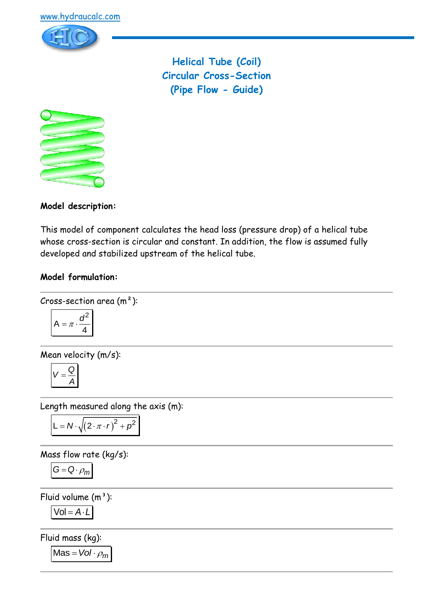

**Helical Tube (Coil) Circular Cross-Section (Pipe Flow - Guide)**



**Model description:**

This model of component calculates the head loss (pressure drop) of a helical tube whose cross-section is circular and constant. In addition, the flow is assumed fully developed and stabilized upstream of the helical tube.

# **Model formulation:**

Cross-section area (m<sup>2</sup>):  

$$
A = \pi \cdot \frac{d^2}{4}
$$

Mean velocity (m/s):

$$
V=\frac{Q}{A}
$$

Length measured along the axis (m):

$$
L = N \cdot \sqrt{(2 \cdot \pi \cdot r)^2 + \rho^2}
$$

Mass flow rate (kg/s):

$$
G=Q\cdot \rho_m
$$

Fluid volume  $(m<sup>3</sup>)$ :

$$
Vol = A \cdot L
$$

Fluid mass (kg):

 $Mas = Vol \cdot \rho_m$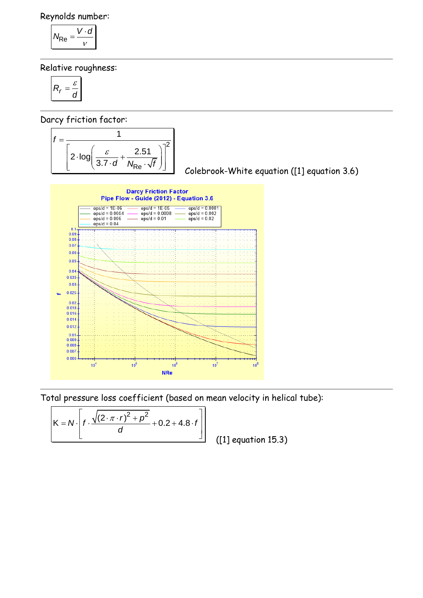Reynolds number:

$$
N_{\text{Re}} = \frac{V \cdot d}{v}
$$

Relative roughness:

$$
R_r = \frac{\varepsilon}{d}
$$

Darcy friction factor:

| $2 \cdot log$ | $3.7 \cdot d$ | 2.51<br>$v_{Re}$ |  |
|---------------|---------------|------------------|--|

Colebrook-White equation ([1] equation 3.6)



Total pressure loss coefficient (based on mean velocity in helical tube):

tal pressure loss coefficient (based on mean  
\n
$$
K = N \cdot \left[ f \cdot \frac{\sqrt{(2 \cdot \pi \cdot r)^2 + \rho^2}}{d} + 0.2 + 4.8 \cdot f \right]
$$
\n(1)

([1] equation 15.3)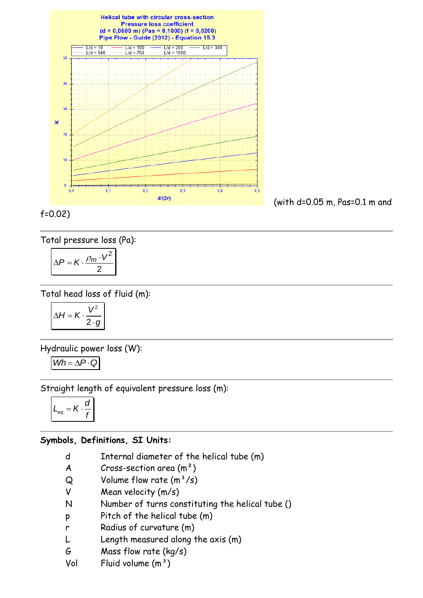

Total pressure loss (Pa):

$$
\Delta P = K \cdot \frac{\rho_m \cdot V^2}{2}
$$

Total head loss of fluid (m):

$$
\Delta H = K \cdot \frac{V^2}{2 \cdot g}
$$

Hydraulic power loss (W):

$$
Wh = \Delta P \cdot Q
$$

Straight length of equivalent pressure loss (m):

$$
L_{eq} = K \cdot \frac{d}{f}
$$

#### **Symbols, Definitions, SI Units:**

- d Internal diameter of the helical tube (m)
- $A$  Cross-section area  $(m<sup>2</sup>)$
- $Q$  Volume flow rate  $(m^3/s)$
- V Mean velocity (m/s)
- N Number of turns constituting the helical tube ()
- p Pitch of the helical tube (m)
- r Radius of curvature (m)
- L Length measured along the axis (m)
- G Mass flow rate (kg/s)
- Vol Fluid volume  $(m<sup>3</sup>)$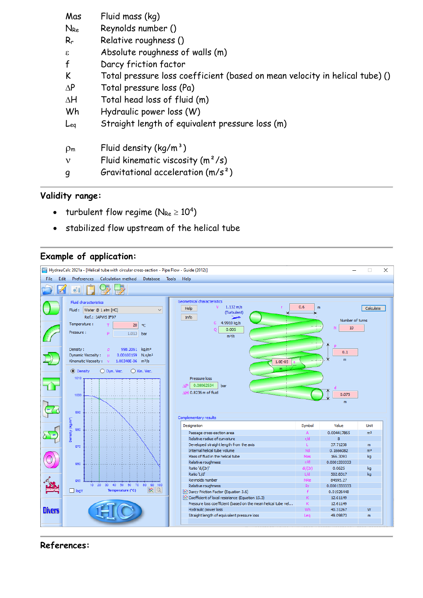| Mas            | Fluid mass (kg)                                                             |  |  |
|----------------|-----------------------------------------------------------------------------|--|--|
| $N_{Re}$       | Reynolds number ()                                                          |  |  |
| $R_r$          | Relative roughness ()                                                       |  |  |
| ε              | Absolute roughness of walls (m)                                             |  |  |
| $\mathbf{f}$   | Darcy friction factor                                                       |  |  |
| K              | Total pressure loss coefficient (based on mean velocity in helical tube) () |  |  |
| $\Delta P$     | Total pressure loss (Pa)                                                    |  |  |
| $\Delta H$     | Total head loss of fluid (m)                                                |  |  |
| Wh             | Hydraulic power loss (W)                                                    |  |  |
| Leg            | Straight length of equivalent pressure loss (m)                             |  |  |
| $\rho_{\rm m}$ | Fluid density $(kq/m^3)$                                                    |  |  |
| $\mathbf v$    | Fluid kinematic viscosity $(m^2/s)$                                         |  |  |
| g              | Gravitational acceleration $(m/s^2)$                                        |  |  |

## **Validity range:**

- turbulent flow regime ( $N_{Re} \ge 10^4$ )
- stabilized flow upstream of the helical tube

## **Example of application:**



#### **References:**